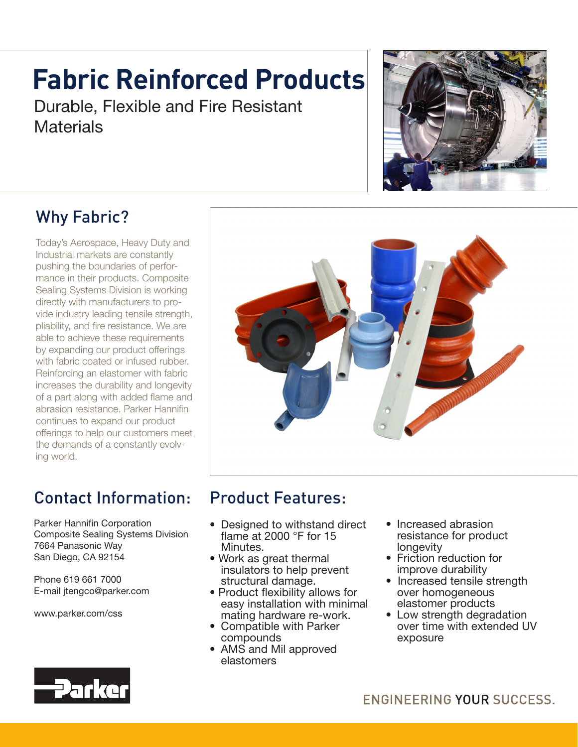# **Fabric Reinforced Products**

Durable, Flexible and Fire Resistant **Materials** 



### Why Fabric?

Today's Aerospace, Heavy Duty and Industrial markets are constantly pushing the boundaries of performance in their products. Composite Sealing Systems Division is working directly with manufacturers to provide industry leading tensile strength, pliability, and fire resistance. We are able to achieve these requirements by expanding our product offerings with fabric coated or infused rubber. Reinforcing an elastomer with fabric increases the durability and longevity of a part along with added flame and abrasion resistance. Parker Hannifin continues to expand our product offerings to help our customers meet the demands of a constantly evolving world.

## Contact Information:

Parker Hannifin Corporation Composite Sealing Systems Division 7664 Panasonic Way San Diego, CA 92154

Phone 619 661 7000 E-mail jtengco@parker.com

www.parker.com/css



#### Product Features:

- Designed to withstand direct flame at 2000  $\degree$ F for 15 Minutes.
- Work as great thermal insulators to help prevent structural damage.
- Product flexibility allows for easy installation with minimal mating hardware re-work.
- Compatible with Parker compounds
- AMS and Mil approved elastomers
- Increased abrasion resistance for product longevity
- Friction reduction for improve durability
- Increased tensile strength over homogeneous elastomer products
- Low strength degradation over time with extended UV exposure